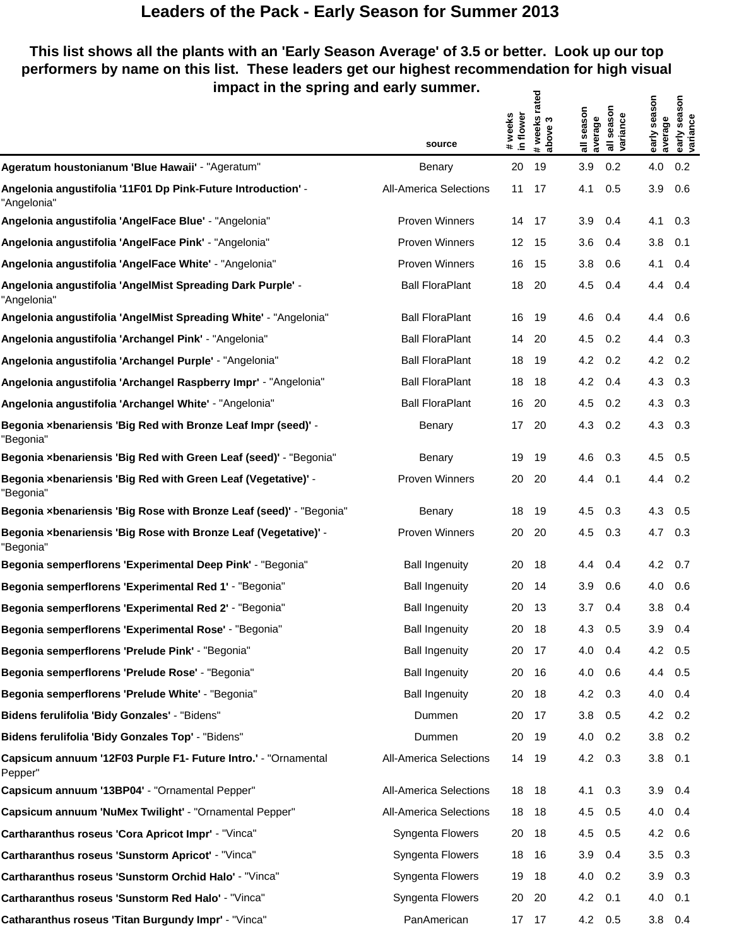### **This list shows all the plants with an 'Early Season Average' of 3.5 or better. Look up our top performers by name on this list. These leaders get our highest recommendation for high visual impact in the spring and early summer.** ទូ<br>ខ  $5<sup>2</sup>$

|                                                                              | source                        | in flower<br># weeks | rated<br>#weeks i<br>above 3 | all season<br>average | all season<br>variance | early season<br>average | season<br>early sea<br>variance |
|------------------------------------------------------------------------------|-------------------------------|----------------------|------------------------------|-----------------------|------------------------|-------------------------|---------------------------------|
| Ageratum houstonianum 'Blue Hawaii' - "Ageratum"                             | Benary                        | 20                   | 19                           | 3.9                   | 0.2                    | 4.0                     | 0.2                             |
| Angelonia angustifolia '11F01 Dp Pink-Future Introduction' -<br>"Angelonia"  | <b>All-America Selections</b> | 11                   | 17                           | 4.1                   | 0.5                    | 3.9                     | 0.6                             |
| Angelonia angustifolia 'AngelFace Blue' - "Angelonia"                        | <b>Proven Winners</b>         | 14                   | - 17                         | 3.9                   | 0.4                    | 4.1                     | 0.3                             |
| Angelonia angustifolia 'AngelFace Pink' - "Angelonia"                        | <b>Proven Winners</b>         | 12 <sup>°</sup>      | -15                          | 3.6                   | 0.4                    | 3.8                     | 0.1                             |
| Angelonia angustifolia 'AngelFace White' - "Angelonia"                       | <b>Proven Winners</b>         | 16                   | 15                           | 3.8                   | 0.6                    | 4.1                     | 0.4                             |
| Angelonia angustifolia 'AngelMist Spreading Dark Purple' -<br>"Angelonia"    | <b>Ball FloraPlant</b>        | 18                   | 20                           | 4.5                   | 0.4                    | 4.4                     | 0.4                             |
| Angelonia angustifolia 'AngelMist Spreading White' - "Angelonia"             | <b>Ball FloraPlant</b>        | 16                   | - 19                         | 4.6                   | 0.4                    | 4.4                     | 0.6                             |
| Angelonia angustifolia 'Archangel Pink' - "Angelonia"                        | <b>Ball FloraPlant</b>        | 14                   | - 20                         | 4.5                   | 0.2                    | 4.4                     | 0.3                             |
| Angelonia angustifolia 'Archangel Purple' - "Angelonia"                      | <b>Ball FloraPlant</b>        | 18                   | 19                           | 4.2                   | 0.2                    | 4.2                     | 0.2                             |
| Angelonia angustifolia 'Archangel Raspberry Impr' - "Angelonia"              | <b>Ball FloraPlant</b>        | 18                   | 18                           | 4.2                   | 0.4                    | 4.3                     | 0.3                             |
| Angelonia angustifolia 'Archangel White' - "Angelonia"                       | <b>Ball FloraPlant</b>        | 16                   | -20                          | 4.5                   | 0.2                    | 4.3                     | 0.3                             |
| Begonia ×benariensis 'Big Red with Bronze Leaf Impr (seed)' -<br>"Begonia"   | Benary                        | 17                   | 20                           | 4.3                   | 0.2                    | 4.3                     | 0.3                             |
| Begonia xbenariensis 'Big Red with Green Leaf (seed)' - "Begonia"            | Benary                        | 19                   | 19                           | 4.6                   | 0.3                    | 4.5                     | 0.5                             |
| Begonia ×benariensis 'Big Red with Green Leaf (Vegetative)' -<br>"Begonia"   | <b>Proven Winners</b>         | 20                   | 20                           | 4.4                   | 0.1                    | 4.4                     | 0.2                             |
| Begonia xbenariensis 'Big Rose with Bronze Leaf (seed)' - "Begonia"          | Benary                        | 18                   | 19                           | 4.5                   | 0.3                    | 4.3                     | 0.5                             |
| Begonia ×benariensis 'Big Rose with Bronze Leaf (Vegetative)' -<br>"Begonia" | <b>Proven Winners</b>         | 20                   | -20                          | 4.5                   | 0.3                    | 4.7                     | 0.3                             |
| Begonia semperflorens 'Experimental Deep Pink' - "Begonia"                   | <b>Ball Ingenuity</b>         | 20                   | 18                           | 4.4                   | 0.4                    | 4.2                     | 0.7                             |
| Begonia semperflorens 'Experimental Red 1' - "Begonia"                       | <b>Ball Ingenuity</b>         | 20                   | 14                           | 3.9                   | 0.6                    | 4.0                     | 0.6                             |
| Begonia semperflorens 'Experimental Red 2' - "Begonia"                       | <b>Ball Ingenuity</b>         | 20                   | 13                           | 3.7                   | 0.4                    | 3.8                     | 0.4                             |
| Begonia semperflorens 'Experimental Rose' - "Begonia"                        | <b>Ball Ingenuity</b>         | 20                   | 18                           | 4.3                   | 0.5                    | 3.9                     | 0.4                             |
| Begonia semperflorens 'Prelude Pink' - "Begonia"                             | <b>Ball Ingenuity</b>         | 20                   | 17                           | 4.0                   | 0.4                    | 4.2                     | 0.5                             |
| Begonia semperflorens 'Prelude Rose' - "Begonia"                             | <b>Ball Ingenuity</b>         | 20                   | 16                           | 4.0                   | 0.6                    | 4.4                     | 0.5                             |
| Begonia semperflorens 'Prelude White' - "Begonia"                            | <b>Ball Ingenuity</b>         | 20                   | 18                           | 4.2                   | 0.3                    | 4.0                     | 0.4                             |
| Bidens ferulifolia 'Bidy Gonzales' - "Bidens"                                | Dummen                        | 20                   | 17                           | 3.8                   | 0.5                    | 4.2                     | 0.2                             |
| Bidens ferulifolia 'Bidy Gonzales Top' - "Bidens"                            | Dummen                        | 20                   | 19                           | 4.0                   | 0.2                    | 3.8                     | 0.2                             |
| Capsicum annuum '12F03 Purple F1- Future Intro.' - "Ornamental<br>Pepper"    | <b>All-America Selections</b> | 14                   | - 19                         | 4.2                   | 0.3                    | 3.8                     | 0.1                             |
| Capsicum annuum '13BP04' - "Ornamental Pepper"                               | <b>All-America Selections</b> | 18                   | - 18                         | 4.1                   | 0.3                    | 3.9                     | 0.4                             |
| Capsicum annuum 'NuMex Twilight' - "Ornamental Pepper"                       | <b>All-America Selections</b> | 18                   | - 18                         | 4.5                   | 0.5                    | 4.0                     | 0.4                             |
| Cartharanthus roseus 'Cora Apricot Impr' - "Vinca"                           | Syngenta Flowers              | 20                   | - 18                         | 4.5                   | 0.5                    | 4.2                     | 0.6                             |
| Cartharanthus roseus 'Sunstorm Apricot' - "Vinca"                            | Syngenta Flowers              | 18                   | - 16                         | 3.9                   | 0.4                    | 3.5                     | 0.3                             |
| Cartharanthus roseus 'Sunstorm Orchid Halo' - "Vinca"                        | Syngenta Flowers              | 19                   | 18                           | 4.0                   | 0.2                    | 3.9                     | 0.3                             |
| Cartharanthus roseus 'Sunstorm Red Halo' - "Vinca"                           | Syngenta Flowers              | 20                   | -20                          | 4.2                   | 0.1                    | 4.0                     | 0.1                             |
| Catharanthus roseus 'Titan Burgundy Impr' - "Vinca"                          | PanAmerican                   |                      | 17 17                        | 4.2 0.5               |                        | 3.8                     | 0.4                             |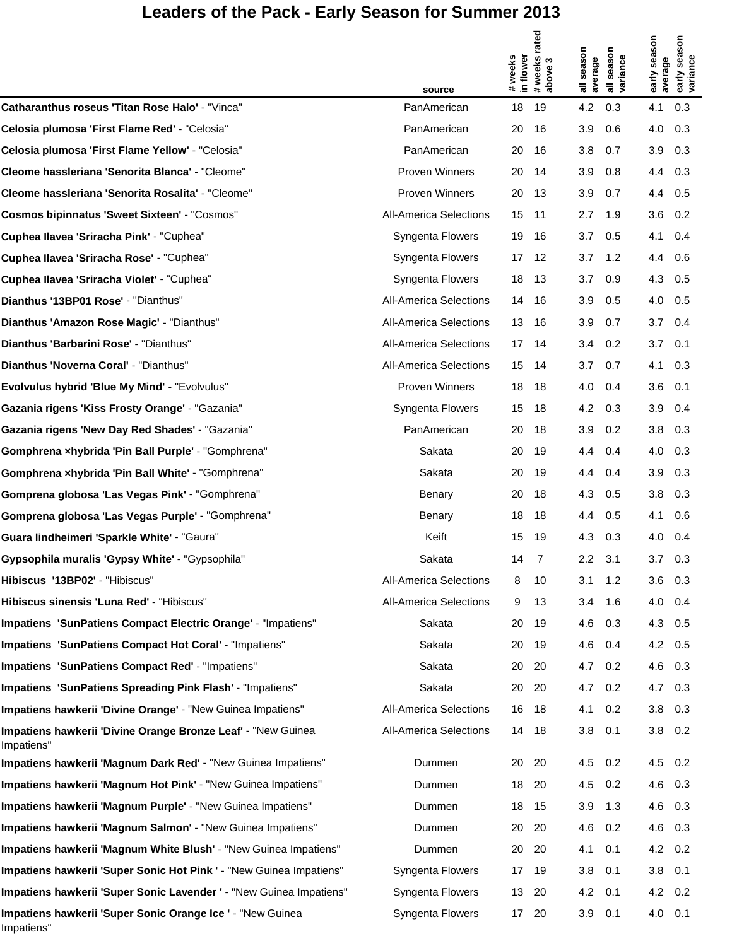|                                                                            |                               |                     |                  |                     |                        |                | SON                    |
|----------------------------------------------------------------------------|-------------------------------|---------------------|------------------|---------------------|------------------------|----------------|------------------------|
|                                                                            |                               |                     | weeks rated<br>S | season              | son                    | early season   |                        |
|                                                                            | source                        | #weeks<br>in flower | #week<br>above   | average<br>$\equiv$ | all seasor<br>variance | average        | early seas<br>variance |
| Catharanthus roseus 'Titan Rose Halo' - "Vinca"                            | PanAmerican                   | 18                  | 19               | 4.2                 | 0.3                    | 4.1            | 0.3                    |
| Celosia plumosa 'First Flame Red' - "Celosia"                              | PanAmerican                   | 20                  | 16               | 3.9                 | 0.6                    | 4.0            | 0.3                    |
| Celosia plumosa 'First Flame Yellow' - "Celosia"                           | PanAmerican                   | 20                  | 16               | 3.8                 | 0.7                    | 3.9            | 0.3                    |
| Cleome hassleriana 'Senorita Blanca' - "Cleome"                            | <b>Proven Winners</b>         | 20                  | 14               | 3.9                 | 0.8                    | 4.4            | 0.3                    |
| Cleome hassleriana 'Senorita Rosalita' - "Cleome"                          | <b>Proven Winners</b>         | 20                  | 13               | 3.9                 | 0.7                    | 4.4            | 0.5                    |
| <b>Cosmos bipinnatus 'Sweet Sixteen' - "Cosmos"</b>                        | <b>All-America Selections</b> | 15                  | 11               | 2.7                 | 1.9                    | 3.6            | 0.2                    |
| Cuphea Ilavea 'Sriracha Pink' - "Cuphea"                                   | Syngenta Flowers              | 19                  | 16               | 3.7                 | 0.5                    | 4.1            | 0.4                    |
| Cuphea Ilavea 'Sriracha Rose' - "Cuphea"                                   | Syngenta Flowers              | 17                  | 12               | 3.7                 | 1.2                    | 4.4            | 0.6                    |
| Cuphea Ilavea 'Sriracha Violet' - "Cuphea"                                 | Syngenta Flowers              | 18                  | 13               | 3.7                 | 0.9                    | 4.3            | 0.5                    |
| Dianthus '13BP01 Rose' - "Dianthus"                                        | <b>All-America Selections</b> | 14                  | 16               | 3.9                 | 0.5                    | 4.0            | 0.5                    |
| Dianthus 'Amazon Rose Magic' - "Dianthus"                                  | <b>All-America Selections</b> | 13                  | 16               | 3.9                 | 0.7                    | 3.7            | 0.4                    |
| Dianthus 'Barbarini Rose' - "Dianthus"                                     | <b>All-America Selections</b> | 17                  | 14               | 3.4                 | 0.2                    | 3.7            | 0.1                    |
| Dianthus 'Noverna Coral' - "Dianthus"                                      | All-America Selections        | 15                  | 14               | 3.7                 | 0.7                    | 4.1            | 0.3                    |
| Evolvulus hybrid 'Blue My Mind' - "Evolvulus"                              | <b>Proven Winners</b>         | 18                  | 18               | 4.0                 | 0.4                    | 3.6            | 0.1                    |
| Gazania rigens 'Kiss Frosty Orange' - "Gazania"                            | Syngenta Flowers              | 15                  | 18               | 4.2                 | 0.3                    | 3.9            | 0.4                    |
| Gazania rigens 'New Day Red Shades' - "Gazania"                            | PanAmerican                   | 20                  | 18               | 3.9                 | 0.2                    | 3.8            | 0.3                    |
| Gomphrena xhybrida 'Pin Ball Purple' - "Gomphrena"                         | Sakata                        | 20                  | 19               | 4.4                 | 0.4                    | 4.0            | 0.3                    |
| Gomphrena xhybrida 'Pin Ball White' - "Gomphrena"                          | Sakata                        | 20                  | 19               | 4.4                 | 0.4                    | 3.9            | 0.3                    |
| Gomprena globosa 'Las Vegas Pink' - "Gomphrena"                            | Benary                        | 20                  | 18               | 4.3                 | 0.5                    | 3.8            | 0.3                    |
| Gomprena globosa 'Las Vegas Purple' - "Gomphrena"                          | Benary                        | 18                  | 18               | 4.4                 | 0.5                    | 4.1            | 0.6                    |
| Guara lindheimeri 'Sparkle White' - "Gaura"                                | Keift                         | 15                  | 19               | 4.3                 | 0.3                    | 4.0            | 0.4                    |
| Gypsophila muralis 'Gypsy White' - "Gypsophila"                            | Sakata                        | 14                  | 7                | 2.2                 | 3.1                    | $3.7\quad 0.3$ |                        |
| Hibiscus '13BP02' - "Hibiscus"                                             | <b>All-America Selections</b> | 8                   | 10               | 3.1                 | 1.2                    | 3.6            | 0.3                    |
| Hibiscus sinensis 'Luna Red' - "Hibiscus"                                  | All-America Selections        | 9                   | 13               | 3.4                 | 1.6                    | 4.0            | 0.4                    |
| Impatiens 'SunPatiens Compact Electric Orange' - "Impatiens"               | Sakata                        | 20                  | 19               | 4.6                 | 0.3                    | 4.3            | 0.5                    |
| Impatiens 'SunPatiens Compact Hot Coral' - "Impatiens"                     | Sakata                        | 20                  | 19               | 4.6                 | 0.4                    | 4.2 0.5        |                        |
| Impatiens 'SunPatiens Compact Red' - "Impatiens"                           | Sakata                        | 20                  | 20               | 4.7                 | 0.2                    | 4.6            | 0.3                    |
| Impatiens 'SunPatiens Spreading Pink Flash' - "Impatiens"                  | Sakata                        | 20                  | 20               | 4.7                 | 0.2                    | 4.7 0.3        |                        |
| Impatiens hawkerii 'Divine Orange' - "New Guinea Impatiens"                | <b>All-America Selections</b> | 16                  | 18               | 4.1                 | 0.2                    | 3.8            | 0.3                    |
| Impatiens hawkerii 'Divine Orange Bronze Leaf' - "New Guinea<br>Impatiens" | <b>All-America Selections</b> | 14                  | 18               | 3.8                 | 0.1                    | 3.8            | 0.2                    |
| Impatiens hawkerii 'Magnum Dark Red' - "New Guinea Impatiens"              | Dummen                        | 20                  | 20               | 4.5                 | 0.2                    | 4.5 0.2        |                        |
| Impatiens hawkerii 'Magnum Hot Pink' - "New Guinea Impatiens"              | Dummen                        | 18                  | 20               | 4.5                 | 0.2                    | 4.6 0.3        |                        |
| Impatiens hawkerii 'Magnum Purple' - "New Guinea Impatiens"                | Dummen                        | 18                  | 15               | 3.9                 | 1.3                    | 4.6            | 0.3                    |
| Impatiens hawkerii 'Magnum Salmon' - "New Guinea Impatiens"                | Dummen                        | 20                  | 20               | 4.6                 | 0.2                    | 4.6 0.3        |                        |
| Impatiens hawkerii 'Magnum White Blush' - "New Guinea Impatiens"           | Dummen                        | 20                  | 20               | 4.1                 | 0.1                    | 4.2 0.2        |                        |
| Impatiens hawkerii 'Super Sonic Hot Pink ' - "New Guinea Impatiens"        | Syngenta Flowers              | 17                  | 19               | 3.8                 | 0.1                    | $3.8$ 0.1      |                        |
| Impatiens hawkerii 'Super Sonic Lavender ' - "New Guinea Impatiens"        | Syngenta Flowers              | 13                  | 20               | 4.2                 | 0.1                    | 4.2 0.2        |                        |
| Impatiens hawkerii 'Super Sonic Orange Ice ' - "New Guinea<br>Impatiens"   | Syngenta Flowers              | 17                  | 20               | 3.9                 | 0.1                    | 4.0 0.1        |                        |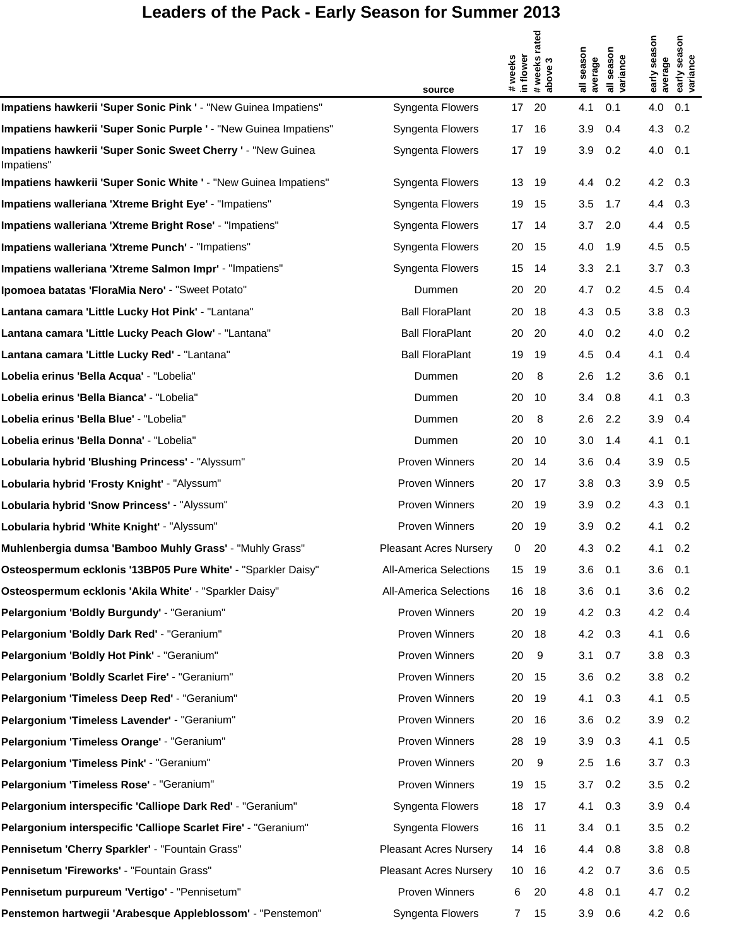|                                                                            | source                        | #weeks<br>in flower | # weeks rated<br>above 3 | season<br>average<br>$\equiv$ | season<br>all seaso<br>variance | early season<br>average | nosi<br>sea<br>early sea<br>variance |
|----------------------------------------------------------------------------|-------------------------------|---------------------|--------------------------|-------------------------------|---------------------------------|-------------------------|--------------------------------------|
| Impatiens hawkerii 'Super Sonic Pink ' - "New Guinea Impatiens"            | Syngenta Flowers              | 17                  | 20                       | 4.1                           | 0.1                             | 4.0                     | 0.1                                  |
| Impatiens hawkerii 'Super Sonic Purple ' - "New Guinea Impatiens"          | Syngenta Flowers              | 17                  | 16                       | 3.9                           | 0.4                             | 4.3                     | 0.2                                  |
| Impatiens hawkerii 'Super Sonic Sweet Cherry ' - "New Guinea<br>Impatiens" | Syngenta Flowers              | 17                  | 19                       | 3.9                           | 0.2                             | 4.0                     | 0.1                                  |
| Impatiens hawkerii 'Super Sonic White ' - "New Guinea Impatiens"           | Syngenta Flowers              | 13                  | 19                       | 4.4                           | 0.2                             | 4.2 0.3                 |                                      |
| Impatiens walleriana 'Xtreme Bright Eye' - "Impatiens"                     | Syngenta Flowers              | 19                  | 15                       | 3.5                           | 1.7                             | 4.4                     | 0.3                                  |
| Impatiens walleriana 'Xtreme Bright Rose' - "Impatiens"                    | Syngenta Flowers              | 17                  | 14                       | 3.7                           | 2.0                             | 4.4 0.5                 |                                      |
| Impatiens walleriana 'Xtreme Punch' - "Impatiens"                          | Syngenta Flowers              | 20                  | 15                       | 4.0                           | 1.9                             | 4.5                     | 0.5                                  |
| Impatiens walleriana 'Xtreme Salmon Impr' - "Impatiens"                    | Syngenta Flowers              | 15                  | 14                       | 3.3                           | 2.1                             | $3.7\quad 0.3$          |                                      |
| <b>Ipomoea batatas 'FloraMia Nero' - "Sweet Potato"</b>                    | Dummen                        | 20                  | 20                       | 4.7                           | 0.2                             | 4.5                     | 0.4                                  |
| Lantana camara 'Little Lucky Hot Pink' - "Lantana"                         | <b>Ball FloraPlant</b>        | 20                  | 18                       | 4.3                           | 0.5                             | $3.8$ 0.3               |                                      |
| Lantana camara 'Little Lucky Peach Glow' - "Lantana"                       | <b>Ball FloraPlant</b>        | 20                  | 20                       | 4.0                           | 0.2                             | 4.0                     | 0.2                                  |
| Lantana camara 'Little Lucky Red' - "Lantana"                              | <b>Ball FloraPlant</b>        | 19                  | 19                       | 4.5                           | 0.4                             | 4.1                     | 0.4                                  |
| Lobelia erinus 'Bella Acqua' - "Lobelia"                                   | Dummen                        | 20                  | 8                        | 2.6                           | 1.2                             | 3.6                     | 0.1                                  |
| Lobelia erinus 'Bella Bianca' - "Lobelia"                                  | Dummen                        | 20                  | 10                       | 3.4                           | 0.8                             | 4.1                     | 0.3                                  |
| Lobelia erinus 'Bella Blue' - "Lobelia"                                    | Dummen                        | 20                  | 8                        | 2.6                           | 2.2                             | 3.9                     | 0.4                                  |
| Lobelia erinus 'Bella Donna' - "Lobelia"                                   | Dummen                        | 20                  | 10                       | 3.0                           | 1.4                             | 4.1                     | 0.1                                  |
| Lobularia hybrid 'Blushing Princess' - "Alyssum"                           | <b>Proven Winners</b>         | 20                  | 14                       | 3.6                           | 0.4                             | 3.9                     | 0.5                                  |
| Lobularia hybrid 'Frosty Knight' - "Alyssum"                               | Proven Winners                | 20                  | 17                       | 3.8                           | 0.3                             | 3.9                     | 0.5                                  |
| Lobularia hybrid 'Snow Princess' - "Alyssum"                               | Proven Winners                | 20                  | 19                       | 3.9                           | 0.2                             | 4.3                     | 0.1                                  |
| Lobularia hybrid 'White Knight' - "Alyssum"                                | Proven Winners                | 20                  | 19                       | 3.9                           | 0.2                             | 4.1                     | 0.2                                  |
| Muhlenbergia dumsa 'Bamboo Muhly Grass' - "Muhly Grass"                    | <b>Pleasant Acres Nursery</b> | 0                   | 20                       | 4.3                           | 0.2                             | 4.1                     | 0.2                                  |
| Osteospermum ecklonis '13BP05 Pure White' - "Sparkler Daisy"               | All-America Selections        | 15                  | 19                       | 3.6                           | 0.1                             | 3.6                     | 0.1                                  |
| Osteospermum ecklonis 'Akila White' - "Sparkler Daisy"                     | All-America Selections        | 16                  | 18                       | 3.6                           | 0.1                             | 3.6                     | 0.2                                  |
| Pelargonium 'Boldly Burgundy' - "Geranium"                                 | Proven Winners                | 20                  | 19                       | 4.2                           | 0.3                             | 4.2 0.4                 |                                      |
| Pelargonium 'Boldly Dark Red' - "Geranium"                                 | Proven Winners                | 20                  | 18                       | 4.2                           | 0.3                             | 4.1                     | 0.6                                  |
| Pelargonium 'Boldly Hot Pink' - "Geranium"                                 | Proven Winners                | 20                  | 9                        | 3.1                           | 0.7                             | 3.8                     | 0.3                                  |
| Pelargonium 'Boldly Scarlet Fire' - "Geranium"                             | Proven Winners                | 20                  | 15                       | 3.6                           | 0.2                             | $3.8$ 0.2               |                                      |
| Pelargonium 'Timeless Deep Red' - "Geranium"                               | Proven Winners                | 20                  | 19                       | 4.1                           | 0.3                             | 4.1                     | 0.5                                  |
| Pelargonium 'Timeless Lavender' - "Geranium"                               | Proven Winners                | 20                  | 16                       | 3.6                           | 0.2                             | $3.9$ 0.2               |                                      |
| Pelargonium 'Timeless Orange' - "Geranium"                                 | Proven Winners                | 28                  | 19                       | 3.9                           | 0.3                             | 4.1                     | 0.5                                  |
| Pelargonium 'Timeless Pink' - "Geranium"                                   | Proven Winners                | 20                  | 9                        | 2.5                           | 1.6                             | $3.7\quad 0.3$          |                                      |
| Pelargonium 'Timeless Rose' - "Geranium"                                   | Proven Winners                | 19                  | 15                       | 3.7                           | 0.2                             | 3.5                     | 0.2                                  |
| Pelargonium interspecific 'Calliope Dark Red' - "Geranium"                 | Syngenta Flowers              | 18                  | 17                       | 4.1                           | 0.3                             | $3.9$ 0.4               |                                      |
| Pelargonium interspecific 'Calliope Scarlet Fire' - "Geranium"             | Syngenta Flowers              | 16                  | 11                       | 3.4                           | 0.1                             | 3.5                     | 0.2                                  |
| Pennisetum 'Cherry Sparkler' - "Fountain Grass"                            | <b>Pleasant Acres Nursery</b> | 14                  | 16                       | 4.4                           | 0.8                             | $3.8$ 0.8               |                                      |
| Pennisetum 'Fireworks' - "Fountain Grass"                                  | <b>Pleasant Acres Nursery</b> | 10                  | 16                       | 4.2                           | 0.7                             | 3.6                     | 0.5                                  |
| Pennisetum purpureum 'Vertigo' - "Pennisetum"                              | Proven Winners                | 6                   | 20                       | 4.8                           | 0.1                             | 4.7                     | 0.2                                  |
| Penstemon hartwegii 'Arabesque Appleblossom' - "Penstemon"                 | Syngenta Flowers              | $\overline{7}$      | 15                       | 3.9                           | 0.6                             | 4.2 0.6                 |                                      |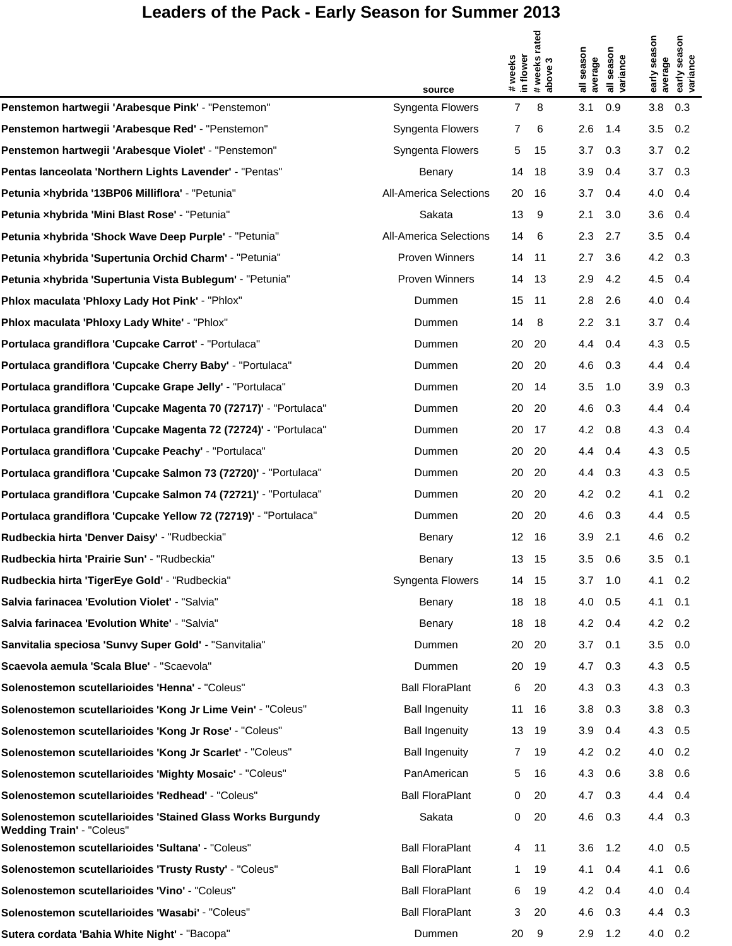|                                                                                                | source                        | # weeks<br>in flower | # weeks rated<br>above 3 | season<br>average | season<br>all seasor<br>variance | early season<br>average | early season<br>variance |
|------------------------------------------------------------------------------------------------|-------------------------------|----------------------|--------------------------|-------------------|----------------------------------|-------------------------|--------------------------|
| Penstemon hartwegii 'Arabesque Pink' - "Penstemon"                                             | Syngenta Flowers              | $\overline{7}$       | 8                        | 3.1               | 0.9                              | 3.8                     | 0.3                      |
| Penstemon hartwegii 'Arabesque Red' - "Penstemon"                                              | Syngenta Flowers              | 7                    | 6                        | 2.6               | 1.4                              | 3.5                     | 0.2                      |
| Penstemon hartwegii 'Arabesque Violet' - "Penstemon"                                           | Syngenta Flowers              | 5                    | 15                       | 3.7               | 0.3                              | 3.7                     | 0.2                      |
| Pentas lanceolata 'Northern Lights Lavender' - "Pentas"                                        | Benary                        | 14                   | 18                       | 3.9               | 0.4                              | 3.7                     | 0.3                      |
| Petunia xhybrida '13BP06 Milliflora' - "Petunia"                                               | <b>All-America Selections</b> | 20                   | 16                       | 3.7               | 0.4                              | 4.0                     | 0.4                      |
| Petunia xhybrida 'Mini Blast Rose' - "Petunia"                                                 | Sakata                        | 13                   | 9                        | 2.1               | 3.0                              | 3.6                     | 0.4                      |
| Petunia xhybrida 'Shock Wave Deep Purple' - "Petunia"                                          | <b>All-America Selections</b> | 14                   | 6                        | 2.3               | 2.7                              | 3.5                     | 0.4                      |
| Petunia xhybrida 'Supertunia Orchid Charm' - "Petunia"                                         | Proven Winners                | 14                   | 11                       | 2.7               | 3.6                              | 4.2                     | 0.3                      |
| Petunia xhybrida 'Supertunia Vista Bublegum' - "Petunia"                                       | Proven Winners                | 14                   | 13                       | 2.9               | 4.2                              | 4.5                     | 0.4                      |
| Phlox maculata 'Phloxy Lady Hot Pink' - "Phlox"                                                | Dummen                        | 15                   | 11                       | 2.8               | 2.6                              | 4.0                     | 0.4                      |
| Phlox maculata 'Phloxy Lady White' - "Phlox"                                                   | Dummen                        | 14                   | 8                        | 2.2               | 3.1                              | 3.7                     | 0.4                      |
| Portulaca grandiflora 'Cupcake Carrot' - "Portulaca"                                           | Dummen                        | 20                   | 20                       | 4.4               | 0.4                              | 4.3                     | 0.5                      |
| Portulaca grandiflora 'Cupcake Cherry Baby' - "Portulaca"                                      | Dummen                        | 20                   | 20                       | 4.6               | 0.3                              | 4.4                     | 0.4                      |
| Portulaca grandiflora 'Cupcake Grape Jelly' - "Portulaca"                                      | Dummen                        | 20                   | 14                       | 3.5               | 1.0                              | 3.9                     | 0.3                      |
| Portulaca grandiflora 'Cupcake Magenta 70 (72717)' - "Portulaca"                               | Dummen                        | 20                   | 20                       | 4.6               | 0.3                              | 4.4                     | 0.4                      |
| Portulaca grandiflora 'Cupcake Magenta 72 (72724)' - "Portulaca"                               | Dummen                        | 20                   | 17                       | 4.2               | 0.8                              | 4.3                     | 0.4                      |
| Portulaca grandiflora 'Cupcake Peachy' - "Portulaca"                                           | Dummen                        | 20                   | 20                       | 4.4               | 0.4                              | 4.3                     | 0.5                      |
| Portulaca grandiflora 'Cupcake Salmon 73 (72720)' - "Portulaca"                                | Dummen                        | 20                   | 20                       | 4.4               | 0.3                              | 4.3                     | 0.5                      |
| Portulaca grandiflora 'Cupcake Salmon 74 (72721)' - "Portulaca"                                | Dummen                        | 20                   | 20                       | 4.2               | 0.2                              | 4.1                     | 0.2                      |
| Portulaca grandiflora 'Cupcake Yellow 72 (72719)' - "Portulaca"                                | Dummen                        | 20                   | 20                       | 4.6               | 0.3                              | 4.4                     | 0.5                      |
| Rudbeckia hirta 'Denver Daisy' - "Rudbeckia"                                                   | Benary                        | 12 <sup>2</sup>      | 16                       | 3.9               | 2.1                              | 4.6                     | 0.2                      |
| Rudbeckia hirta 'Prairie Sun' - "Rudbeckia"                                                    | Benary                        | 13                   | 15                       | 3.5               | 0.6                              | 3.5                     | 0.1                      |
| Rudbeckia hirta 'TigerEye Gold' - "Rudbeckia"                                                  | Syngenta Flowers              | 14                   | - 15                     | 3.7               | 1.0                              | 4.1 0.2                 |                          |
| Salvia farinacea 'Evolution Violet' - "Salvia"                                                 | Benary                        | 18                   | 18                       | 4.0               | 0.5                              | 4.1                     | 0.1                      |
| Salvia farinacea 'Evolution White' - "Salvia"                                                  | Benary                        | 18                   | 18                       | 4.2               | 0.4                              | 4.2                     | 0.2                      |
| Sanvitalia speciosa 'Sunvy Super Gold' - "Sanvitalia"                                          | Dummen                        | 20                   | 20                       | 3.7               | 0.1                              | 3.5                     | 0.0                      |
| Scaevola aemula 'Scala Blue' - "Scaevola"                                                      | Dummen                        | 20                   | 19                       | 4.7               | 0.3                              | 4.3                     | 0.5                      |
| Solenostemon scutellarioides 'Henna' - "Coleus"                                                | <b>Ball FloraPlant</b>        | 6                    | 20                       | 4.3               | 0.3                              | 4.3                     | 0.3                      |
| Solenostemon scutellarioides 'Kong Jr Lime Vein' - "Coleus"                                    | <b>Ball Ingenuity</b>         | 11                   | 16                       | 3.8               | 0.3                              | 3.8                     | 0.3                      |
| Solenostemon scutellarioides 'Kong Jr Rose' - "Coleus"                                         | <b>Ball Ingenuity</b>         | 13                   | 19                       | 3.9               | 0.4                              | 4.3                     | 0.5                      |
| Solenostemon scutellarioides 'Kong Jr Scarlet' - "Coleus"                                      | <b>Ball Ingenuity</b>         | 7                    | 19                       | 4.2               | 0.2                              | 4.0                     | 0.2                      |
| Solenostemon scutellarioides 'Mighty Mosaic' - "Coleus"                                        | PanAmerican                   | 5                    | 16                       | 4.3               | 0.6                              | 3.8                     | 0.6                      |
| Solenostemon scutellarioides 'Redhead' - "Coleus"                                              | <b>Ball FloraPlant</b>        | 0                    | 20                       | 4.7               | 0.3                              | 4.4                     | 0.4                      |
| Solenostemon scutellarioides 'Stained Glass Works Burgundy<br><b>Wedding Train' - "Coleus"</b> | Sakata                        | 0                    | 20                       | 4.6               | 0.3                              | 4.4                     | 0.3                      |
| Solenostemon scutellarioides 'Sultana' - "Coleus"                                              | <b>Ball FloraPlant</b>        | 4                    | 11                       | 3.6               | 1.2                              | 4.0                     | 0.5                      |
| Solenostemon scutellarioides 'Trusty Rusty' - "Coleus"                                         | <b>Ball FloraPlant</b>        | 1                    | 19                       | 4.1               | 0.4                              | 4.1                     | 0.6                      |
| Solenostemon scutellarioides 'Vino' - "Coleus"                                                 | <b>Ball FloraPlant</b>        | 6                    | 19                       | 4.2               | 0.4                              | 4.0                     | 0.4                      |
| Solenostemon scutellarioides 'Wasabi' - "Coleus"                                               | <b>Ball FloraPlant</b>        | 3                    | 20                       | 4.6               | 0.3                              | 4.4                     | 0.3                      |
| Sutera cordata 'Bahia White Night' - "Bacopa"                                                  | Dummen                        | 20                   | 9                        | 2.9               | 1.2                              | 4.0 0.2                 |                          |